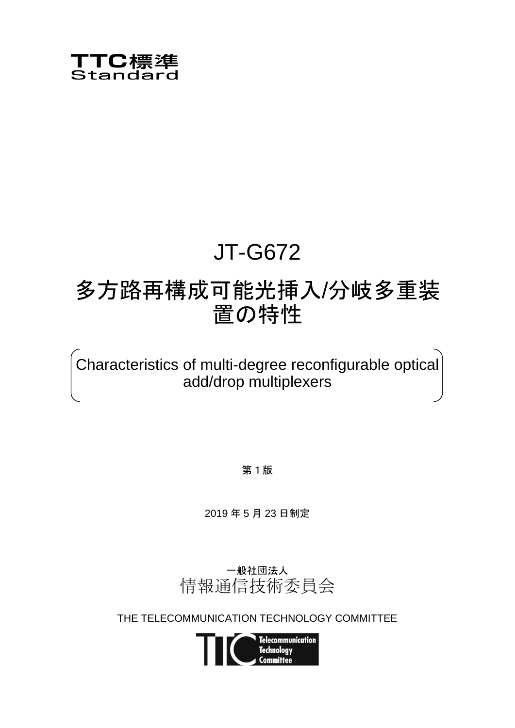

# JT-G672

## 多方路再構成可能光挿入/分岐多重装 置の特性

Characteristics of multi-degree reconfigurable optical add/drop multiplexers

第1版

2019 年 5 月 23 日制定



THE TELECOMMUNICATION TECHNOLOGY COMMITTEE

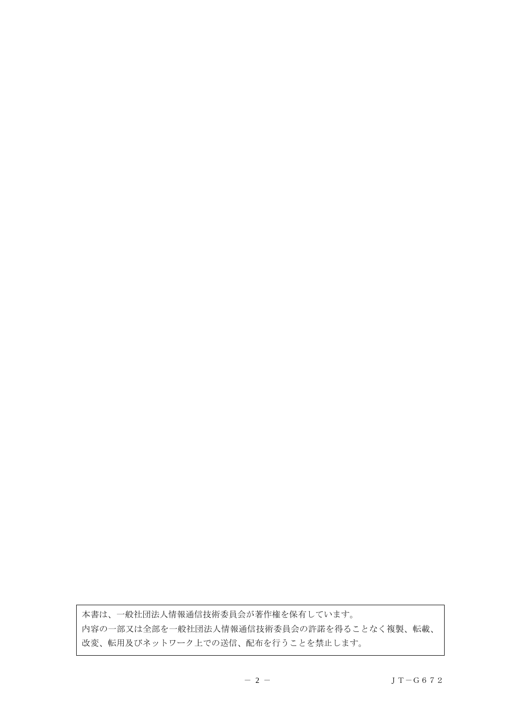本書は、一般社団法人情報通信技術委員会が著作権を保有しています。 内容の一部又は全部を一般社団法人情報通信技術委員会の許諾を得ることなく複製、転載、 改変、転用及びネットワーク上での送信、配布を行うことを禁止します。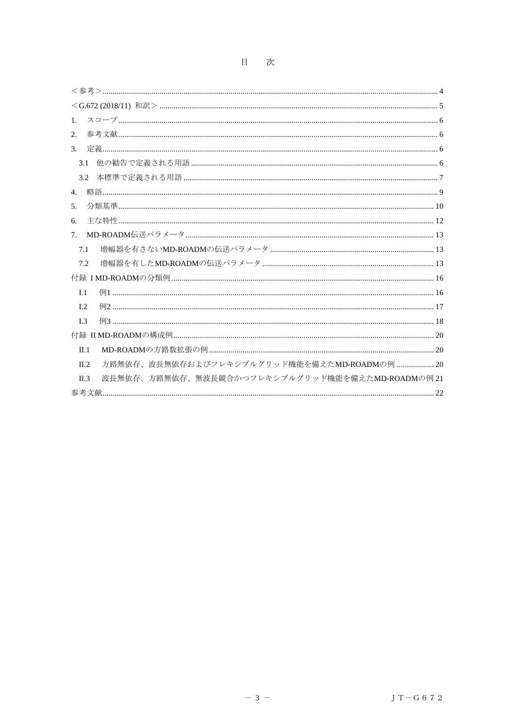| 1.                                                           |
|--------------------------------------------------------------|
| 2.                                                           |
| $\mathcal{R}$                                                |
| 3.1                                                          |
|                                                              |
| 4.                                                           |
| 5.                                                           |
| 6.                                                           |
| 7 <sub>1</sub>                                               |
| 7.1                                                          |
| 7.2                                                          |
|                                                              |
| I.1                                                          |
| L <sub>2</sub>                                               |
| L <sub>3</sub>                                               |
|                                                              |
| $\Pi.1$                                                      |
| 方路無依存、波長無依存およびフレキシブルグリッド機能を備えたMD-ROADMの例  20<br>$\Pi.2$      |
| 波長無依存、方路無依存、無波長競合かつフレキシブルグリッド機能を備えたMD-ROADMの例 21<br>$\Pi$ .3 |
|                                                              |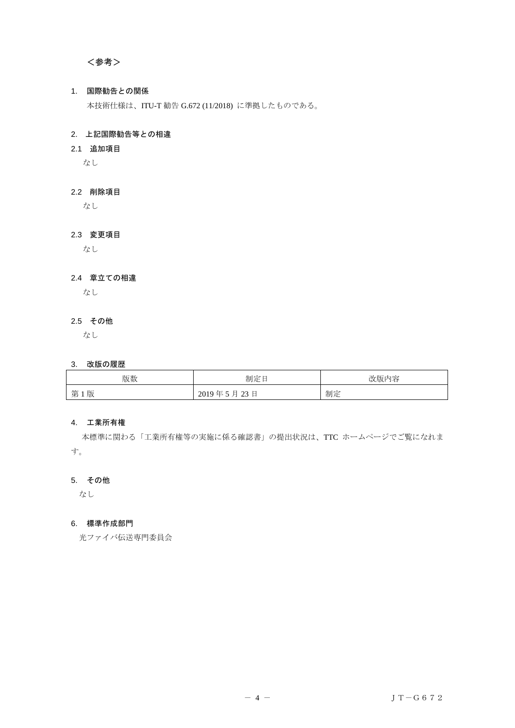## <span id="page-3-0"></span><参考>

## 1. 国際勧告との関係

本技術仕様は、ITU-T 勧告 G.672 (11/2018) に準拠したものである。

## 2. 上記国際勧告等との相違

#### 2.1 追加項目

なし

### 2.2 削除項目

なし

## 2.3 変更項目

なし

## 2.4 章立ての相違

なし

## 2.5 その他

なし

#### 3. 改版の履歴

| 版数      | 制定<br>-                | 改版内容 |
|---------|------------------------|------|
| 1版<br>第 | 2019年5月<br>23E<br>∠J ⊣ | 制定   |

## 4. 工業所有権

 本標準に関わる「工業所有権等の実施に係る確認書」の提出状況は、TTC ホームページでご覧になれま す。

## 5. その他

なし

#### 6. 標準作成部門

光ファイバ伝送専門委員会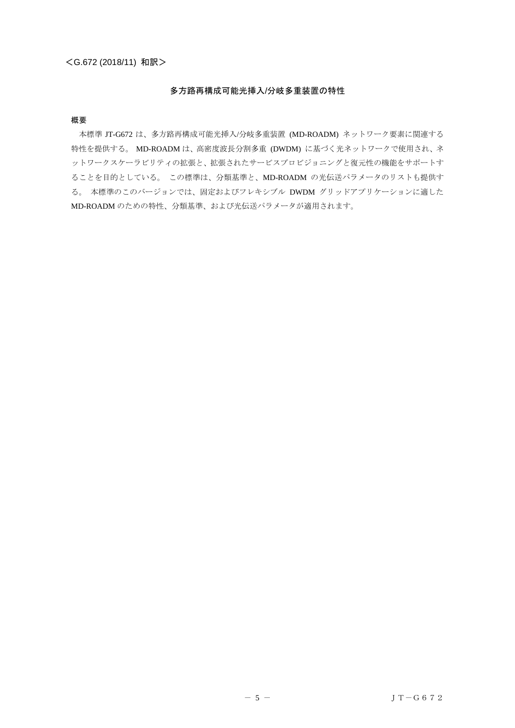## 多方路再構成可能光挿入/分岐多重装置の特性

#### <span id="page-4-0"></span>概要

本標準 JT-G672 は、多方路再構成可能光挿入/分岐多重装置 (MD-ROADM) ネットワーク要素に関連する 特性を提供する。 MD-ROADM は、高密度波長分割多重 (DWDM) に基づく光ネットワークで使用され、ネ ットワークスケーラビリティの拡張と、拡張されたサービスプロビジョニングと復元性の機能をサポートす ることを目的としている。 この標準は、分類基準と、MD-ROADM の光伝送パラメータのリストも提供す る。 本標準のこのバージョンでは、固定およびフレキシブル DWDM グリッドアプリケーションに適した MD-ROADM のための特性、分類基準、および光伝送パラメータが適用されます。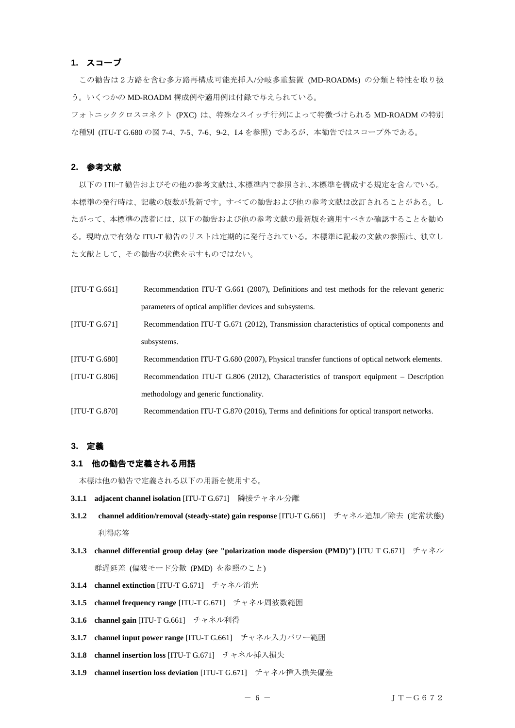## <span id="page-5-0"></span>**1.** スコープ

 この勧告は2方路を含む多方路再構成可能光挿入/分岐多重装置 (MD-ROADMs) の分類と特性を取り扱 う。いくつかの MD-ROADM 構成例や適用例は付録で与えられている。 フォトニッククロスコネクト (PXC) は、特殊なスイッチ行列によって特徴づけられる MD-ROADM の特別 な種別 (ITU-T G.680 の図 7-4、7-5、7-6、9-2、I.4 を参照) であるが、本勧告ではスコープ外である。

#### <span id="page-5-1"></span>**2.** 参考文献

以下の ITU-T 勧告およびその他の参考文献は、本標準内で参照され、本標準を構成する規定を含んでいる。 本標準の発行時は、記載の版数が最新です。すべての勧告および他の参考文献は改訂されることがある。し たがって、本標準の読者には、以下の勧告および他の参考文献の最新版を適用すべきか確認することを勧め る。現時点で有効な ITU-T 勧告のリストは定期的に発行されている。本標準に記載の文献の参照は、独立し た文献として、その勧告の状態を示すものではない。

| $[ITU-T G.661]$      | Recommendation ITU-T G.661 (2007), Definitions and test methods for the relevant generic    |
|----------------------|---------------------------------------------------------------------------------------------|
|                      | parameters of optical amplifier devices and subsystems.                                     |
| $[ITU-T G.671]$      | Recommendation ITU-T G.671 (2012), Transmission characteristics of optical components and   |
|                      | subsystems.                                                                                 |
| [ITU-T G.680]        | Recommendation ITU-T G.680 (2007), Physical transfer functions of optical network elements. |
| [ITU-T G.806]        | Recommendation ITU-T G.806 (2012), Characteristics of transport equipment – Description     |
|                      | methodology and generic functionality.                                                      |
| <b>IITU-T G.8701</b> | Recommendation ITU-T G.870 (2016), Terms and definitions for optical transport networks.    |

## <span id="page-5-2"></span>**3.** 定義

#### <span id="page-5-3"></span>**3.1** 他の勧告で定義される用語

本標は他の勧告で定義される以下の用語を使用する。

- **3.1.1 adjacent channel isolation** [ITU-T G.671] 隣接チャネル分離
- **3.1.2 channel addition/removal (steady-state) gain response** [ITU-T G.661] チャネル追加/除去 (定常状態) 利得応答
- **3.1.3** channel differential group delay (see "polarization mode dispersion (PMD)") [ITU T G.671] チャネル 群遅延差 (偏波モード分散 (PMD) を参照のこと)
- **3.1.4 channel extinction** [ITU-T G.671] チャネル消光
- **3.1.5 channel frequency range** [ITU-T G.671] チャネル周波数範囲
- **3.1.6 channel gain** [ITU-T G.661] チャネル利得
- **3.1.7 channel input power range** [ITU-T G.661] チャネル入力パワー範囲
- **3.1.8 channel insertion loss** [ITU-T G.671] チャネル挿入損失
- **3.1.9 channel insertion loss deviation** [ITU-T G.671] チャネル挿入損失偏差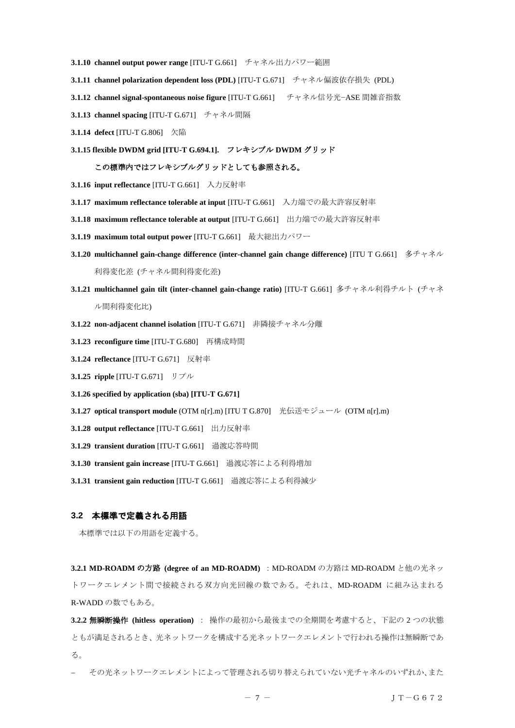- **3.1.10 channel output power range** [ITU-T G.661] チャネル出力パワー範囲
- **3.1.11 channel polarization dependent loss (PDL)** [ITU-T G.671] チャネル偏波依存損失 (PDL)
- **3.1.12 channel signal-spontaneous noise figure** [ITU-T G.661] チャネル信号光−ASE 間雑音指数
- **3.1.13 channel spacing** [ITU-T G.671] チャネル間隔
- **3.1.14 defect** [ITU-T G.806] 欠陥
- **3.1.15 flexible DWDM grid [ITU-T G.694.1].** フレキシブル **DWDM** グリッド

#### この標準内ではフレキシブルグリッドとしても参照される。

- **3.1.16 input reflectance** [ITU-T G.661] 入力反射率
- **3.1.17 maximum reflectance tolerable at input** [ITU-T G.661] 入力端での最大許容反射率
- **3.1.18 maximum reflectance tolerable at output** [ITU-T G.661] 出力端での最大許容反射率
- **3.1.19 maximum total output power** [ITU-T G.661] 最大総出力パワー
- **3.1.20 multichannel gain-change difference (inter-channel gain change difference)** [ITU T G.661] 多チャネル 利得変化差 (チャネル間利得変化差)
- **3.1.21 multichannel gain tilt (inter-channel gain-change ratio)** [ITU-T G.661] 多チャネル利得チルト (チャネ ル間利得変化比)
- **3.1.22 non-adjacent channel isolation** [ITU-T G.671] 非隣接チャネル分離
- **3.1.23 reconfigure time** [ITU-T G.680] 再構成時間
- **3.1.24 reflectance** [ITU-T G.671] 反射率
- **3.1.25 ripple** [ITU-T G.671] リプル
- **3.1.26 specified by application (sba) [ITU-T G.671]**
- **3.1.27 optical transport module** (OTM n[r].m) [ITU T G.870] 光伝送モジュール (OTM n[r].m)
- **3.1.28 output reflectance** [ITU-T G.661] 出力反射率
- **3.1.29 transient duration** [ITU-T G.661] 過渡応答時間
- **3.1.30 transient gain increase** [ITU-T G.661] 過渡応答による利得増加
- **3.1.31 transient gain reduction** [ITU-T G.661] 過渡応答による利得減少

## <span id="page-6-0"></span>**3.2** 本標準で定義される用語

本標準では以下の用語を定義する。

3.2.1 MD-ROADM の方路 (degree of an MD-ROADM) : MD-ROADM の方路は MD-ROADM と他の光ネッ トワークエレメント間で接続される双方向光回線の数である。それは、MD-ROADM に組み込まれる R-WADD の数でもある。

**3.2.2** 無瞬断操作 **(hitless operation)** : 操作の最初から最後までの全期間を考慮すると、下記の 2 つの状態 ともが満足されるとき、光ネットワークを構成する光ネットワークエレメントで行われる操作は無瞬断であ る。

その光ネットワークエレメントによって管理される切り替えられていない光チャネルのいずれか、また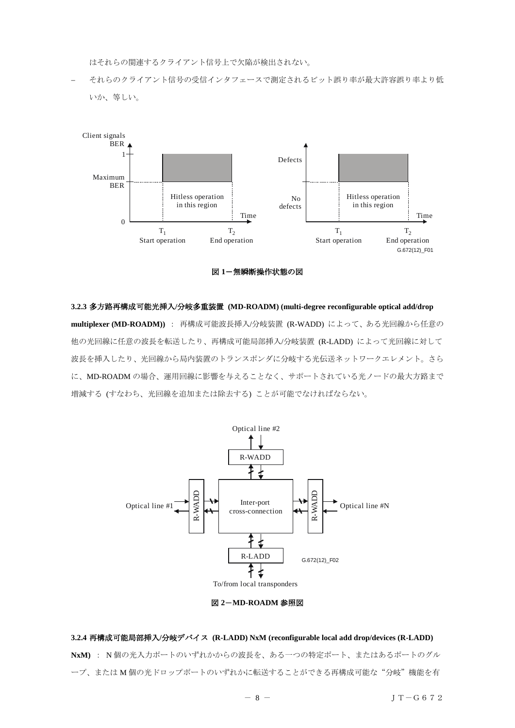はそれらの関連するクライアント信号上で欠陥が検出されない。

− それらのクライアント信号の受信インタフェースで測定されるビット誤り率が最大許容誤り率より低 いか、等しい。



図 **1**-無瞬断操作状態の図

**3.2.3** 多方路再構成可能光挿入**/**分岐多重装置 **(MD-ROADM) (multi-degree reconfigurable optical add/drop multiplexer (MD-ROADM))** : 再構成可能波長挿入/分岐装置 (R-WADD) によって、ある光回線から任意の 他の光回線に任意の波長を転送したり、再構成可能局部挿入/分岐装置 (R-LADD) によって光回線に対して 波長を挿入したり、光回線から局内装置のトランスポンダに分岐する光伝送ネットワークエレメント。さら に、MD-ROADM の場合、運用回線に影響を与えることなく、サポートされている光ノードの最大方路まで 増減する (すなわち、光回線を追加または除去する) ことが可能でなければならない。



図 **2**-**MD-ROADM** 参照図

## **3.2.4** 再構成可能局部挿入**/**分岐デバイス **(R-LADD) NxM (reconfigurable local add drop/devices (R-LADD) NxM)** : N 個の光入力ポートのいずれかからの波長を、ある一つの特定ポート、またはあるポートのグル ープ、または M 個の光ドロップポートのいずれかに転送することができる再構成可能な"分岐"機能を有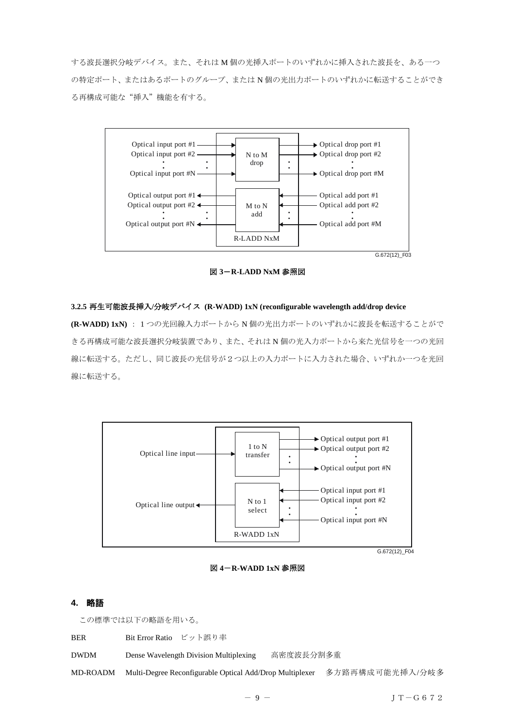する波長選択分岐デバイス。また、それは M 個の光挿入ポートのいずれかに挿入された波長を、ある一つ の特定ポート、またはあるポートのグループ、または N 個の光出力ポートのいずれかに転送することができ る再構成可能な"挿入"機能を有する。



図 **3**-**R-LADD NxM** 参照図

#### **3.2.5** 再生可能波長挿入**/**分岐デバイス **(R-WADD) 1xN (reconfigurable wavelength add/drop device**

**(R-WADD) 1xN)** : 1 つの光回線入力ポートから N 個の光出力ポートのいずれかに波長を転送することがで きる再構成可能な波長選択分岐装置であり、また、それは N 個の光入力ポートから来た光信号を一つの光回 線に転送する。ただし、同じ波長の光信号が2つ以上の入力ポートに入力された場合、いずれか一つを光回 線に転送する。



図 **4**-**R-WADD 1xN** 参照図

## <span id="page-8-0"></span>**4.** 略語

この標準では以下の略語を用いる。

| <b>BER</b>  | Bit Error Ratio ビット誤り率                                   |           |                 |
|-------------|----------------------------------------------------------|-----------|-----------------|
| <b>DWDM</b> | Dense Wavelength Division Multiplexing                   | 高密度波長分割多重 |                 |
| MD-ROADM    | Multi-Degree Reconfigurable Optical Add/Drop Multiplexer |           | 多方路再構成可能光挿入/分岐多 |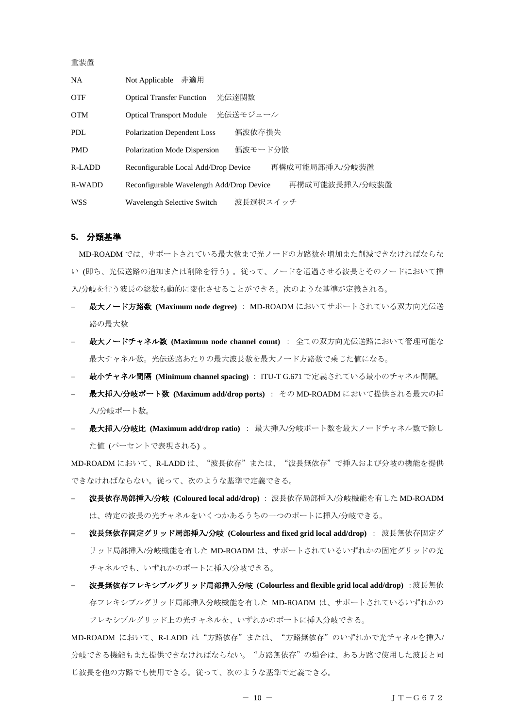#### 重装置

| NA.        | 非適用<br>Not Applicable                                       |
|------------|-------------------------------------------------------------|
| <b>OTF</b> | 光伝達関数<br><b>Optical Transfer Function</b>                   |
| <b>OTM</b> | 光伝送モジュール<br><b>Optical Transport Module</b>                 |
| PDL        | 偏波依存損失<br><b>Polarization Dependent Loss</b>                |
| <b>PMD</b> | 偏波モード分散<br>Polarization Mode Dispersion                     |
| R-LADD     | 再構成可能局部挿入/分岐装置<br>Reconfigurable Local Add/Drop Device      |
| R-WADD     | 再構成可能波長挿入/分岐装置<br>Reconfigurable Wavelength Add/Drop Device |
| <b>WSS</b> | 波長選択スイッチ<br>Wavelength Selective Switch                     |

#### <span id="page-9-0"></span>**5.** 分類基準

MD-ROADM では、サポートされている最大数まで光ノードの方路数を増加また削減できなければならな い (即ち、光伝送路の追加または削除を行う) 。従って、ノードを通過させる波長とそのノードにおいて挿 入/分岐を行う波長の総数も動的に変化させることができる。次のような基準が定義される。

- − 最大ノード方路数 **(Maximum node degree)** : MD-ROADM においてサポートされている双方向光伝送 路の最大数
- − 最大ノードチャネル数 **(Maximum node channel count)** : 全ての双方向光伝送路において管理可能な 最大チャネル数。光伝送路あたりの最大波長数を最大ノード方路数で乗じた値になる。
- − 最小チャネル間隔 **(Minimum channel spacing)** : ITU-T G.671 で定義されている最小のチャネル間隔。
- − 最大挿入**/**分岐ポート数 **(Maximum add/drop ports)** : その MD-ROADM において提供される最大の挿 入/分岐ポート数。
- **最大挿入/分岐比 (Maximum add/drop ratio) : 最大挿入/分岐ポート数を最大ノードチャネル数で除し** た値 (パーセントで表現される) 。

MD-ROADM において、R-LADD は、"波長依存"または、"波長無依存"で挿入および分岐の機能を提供 できなければならない。従って、次のような基準で定義できる。

- − 波長依存局部挿入**/**分岐 **(Coloured local add/drop)** : 波長依存局部挿入/分岐機能を有した MD-ROADM は、特定の波長の光チャネルをいくつかあるうちの一つのポートに挿入/分岐できる。
- − 波長無依存固定グリッド局部挿入**/**分岐 **(Colourless and fixed grid local add/drop)** : 波長無依存固定グ リッド局部挿入/分岐機能を有した MD-ROADM は、サポートされているいずれかの固定グリッドの光 チャネルでも、いずれかのポートに挿入/分岐できる。
- − 波長無依存フレキシブルグリッド局部挿入分岐 **(Colourless and flexible grid local add/drop)** :波長無依 存フレキシブルグリッド局部挿入分岐機能を有した MD-ROADM は、サポートされているいずれかの フレキシブルグリッド上の光チャネルを、いずれかのポートに挿入分岐できる。

MD-ROADM において、R-LADD は"方路依存"または、"方路無依存"のいずれかで光チャネルを挿入/ 分岐できる機能もまた提供できなければならない。"方路無依存"の場合は、ある方路で使用した波長と同 じ波長を他の方路でも使用できる。従って、次のような基準で定義できる。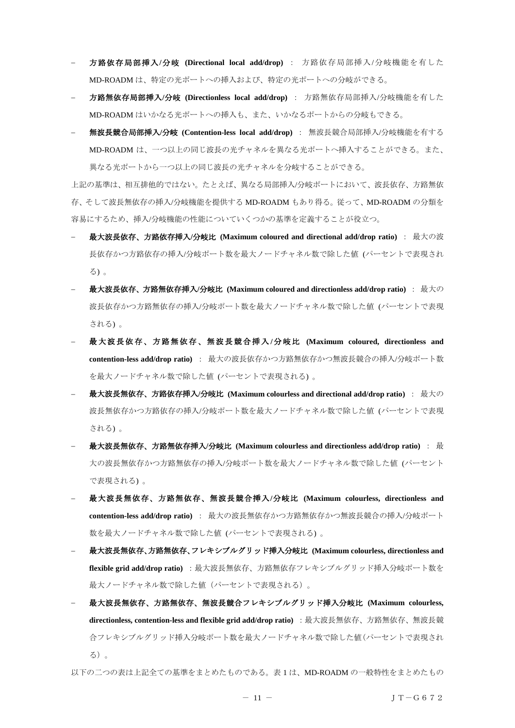- − 方路依存局部挿入**/**分岐 **(Directional local add/drop)** : 方路依存局部挿入/分岐機能を有した MD-ROADM は、特定の光ポートへの挿入および、特定の光ポートへの分岐ができる。
- **方路無依存局部挿入/分岐 (Directionless local add/drop)** : 方路無依存局部挿入/分岐機能を有した MD-ROADM はいかなる光ポートへの挿入も、また、いかなるポートからの分岐もできる。
- − 無波長競合局部挿入**/**分岐 **(Contention-less local add/drop)** : 無波長競合局部挿入/分岐機能を有する MD-ROADM は、一つ以上の同じ波長の光チャネルを異なる光ポートへ挿入することができる。また、 異なる光ポートから一つ以上の同じ波長の光チャネルを分岐することができる。

上記の基準は、相互排他的ではない。たとえば、異なる局部挿入/分岐ポートにおいて、波長依存、方路無依 存、そして波長無依存の挿入/分岐機能を提供する MD-ROADM もあり得る。従って、MD-ROADM の分類を 容易にするため、挿入/分岐機能の性能についていくつかの基準を定義することが役立つ。

- − 最大波長依存、方路依存挿入**/**分岐比 **(Maximum coloured and directional add/drop ratio)** : 最大の波 長依存かつ方路依存の挿入/分岐ポート数を最大ノードチャネル数で除した値 (パーセントで表現され る) 。
- − 最大波長依存、方路無依存挿入**/**分岐比 **(Maximum coloured and directionless add/drop ratio)** : 最大の 波長依存かつ方路無依存の挿入/分岐ポート数を最大ノードチャネル数で除した値 (パーセントで表現 される) 。
- − 最 大波長依 存、方路 無依存 、無波長 競合挿入 **/**分 岐比 **(Maximum coloured, directionless and contention-less add/drop ratio)** : 最大の波長依存かつ方路無依存かつ無波長競合の挿入/分岐ポート数 を最大ノードチャネル数で除した値 (パーセントで表現される) 。
- − 最大波長無依存、方路依存挿入**/**分岐比 **(Maximum colourless and directional add/drop ratio)** : 最大の 波長無依存かつ方路依存の挿入/分岐ポート数を最大ノードチャネル数で除した値 (パーセントで表現 される) 。
- − 最大波長無依存、方路無依存挿入**/**分岐比 **(Maximum colourless and directionless add/drop ratio)** : 最 大の波長無依存かつ方路無依存の挿入/分岐ポート数を最大ノードチャネル数で除した値 (パーセント で表現される) 。
- − 最大波長無依存、方路無依存、無波長競合挿入**/**分岐比 **(Maximum colourless, directionless and contention-less add/drop ratio)** : 最大の波長無依存かつ方路無依存かつ無波長競合の挿入/分岐ポート 数を最大ノードチャネル数で除した値 (パーセントで表現される) 。
- − 最大波長無依存、方路無依存、フレキシブルグリッド挿入分岐比 **(Maximum colourless, directionless and flexible grid add/drop ratio)** :最大波長無依存、方路無依存フレキシブルグリッド挿入分岐ポート数を 最大ノードチャネル数で除した値(パーセントで表現される)。
- − 最大波長無依存、方路無依存、無波長競合フレキシブルグリッド挿入分岐比 **(Maximum colourless, directionless, contention-less and flexible grid add/drop ratio)** :最大波長無依存、方路無依存、無波長競 合フレキシブルグリッド挿入分岐ポート数を最大ノードチャネル数で除した値(パーセントで表現され る)。

以下の二つの表は上記全ての基準をまとめたものである。表 1 は、MD-ROADM の一般特性をまとめたもの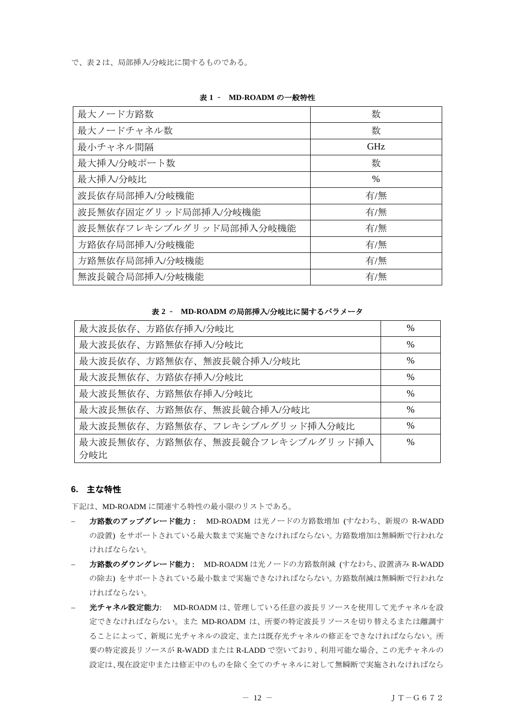で、表 2 は、局部挿入/分岐比に関するものである。

| 最大ノード方路数                | 数             |
|-------------------------|---------------|
| 最大ノードチャネル数              | 数             |
| 最小チャネル間隔                | <b>GHz</b>    |
| 最大挿入/分岐ポート数             | 数             |
| 最大挿入/分岐比                | $\frac{0}{0}$ |
| 波長依存局部挿入/分岐機能           | 有/無           |
| 波長無依存固定グリッド局部挿入/分岐機能    | 有/無           |
| 波長無依存フレキシブルグリッド局部挿入分岐機能 | 有/無           |
| 方路依存局部挿入/分岐機能           | 有/無           |
| 方路無依存局部挿入/分岐機能          | 有/無           |
| 無波長競合局部挿入/分岐機能          | 有/無           |

#### 表 **1** – **MD-ROADM** の一般特性

表 **2** – **MD-ROADM** の局部挿入**/**分岐比に関するパラメータ

| 最大波長依存、方路依存挿入/分岐比               | %             |
|---------------------------------|---------------|
| 最大波長依存、方路無依存挿入/分岐比              | $\frac{0}{0}$ |
| 最大波長依存、方路無依存、無波長競合挿入/分岐比        | $\frac{0}{0}$ |
| 最大波長無依存、方路依存挿入/分岐比              | $\%$          |
| 最大波長無依存、方路無依存挿入/分岐比             | $\%$          |
| 最大波長無依存、方路無依存、無波長競合挿入/分岐比       | $\frac{0}{0}$ |
| 最大波長無依存、方路無依存、フレキシブルグリッド挿入分岐比   | $\frac{0}{0}$ |
| 最大波長無依存、方路無依存、無波長競合フレキシブルグリッド挿入 | $\frac{0}{0}$ |
| 分岐比                             |               |

## <span id="page-11-0"></span>**6.** 主な特性

下記は、MD-ROADM に関連する特性の最小限のリストである。

- − 方路数のアップグレード能力: MD-ROADM は光ノードの方路数増加 (すなわち、新規の R-WADD の設置) をサポートされている最大数まで実施できなければならない。方路数増加は無瞬断で行われな ければならない。
- 方路数のダウングレード能力: MD-ROADM は光ノードの方路数削減 (すなわち、設置済み R-WADD の除去) をサポートされている最小数まで実施できなければならない。方路数削減は無瞬断で行われな ければならない。
- 光チャネル設定能力: MD-ROADM は、管理している任意の波長リソースを使用して光チャネルを設 定できなければならない。また MD-ROADM は、所要の特定波長リソースを切り替えるまたは離調す ることによって、新規に光チャネルの設定、または既存光チャネルの修正をできなければならない。所 要の特定波長リソースが R-WADD または R-LADD で空いており、利用可能な場合、この光チャネルの 設定は、現在設定中または修正中のものを除く全てのチャネルに対して無瞬断で実施されなければなら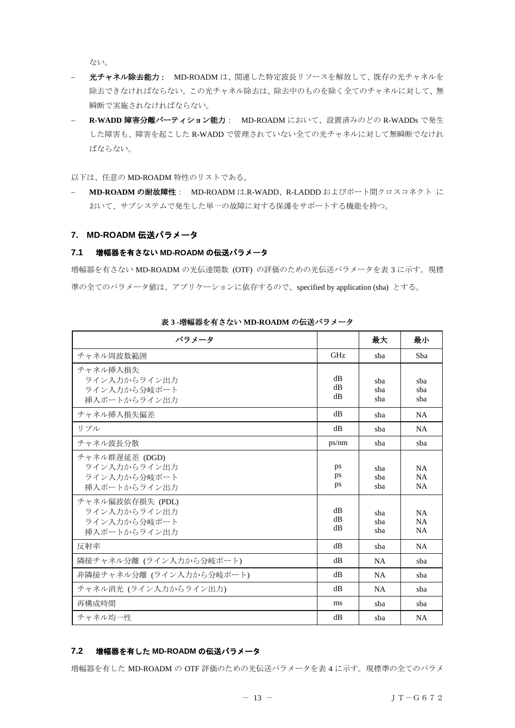ない。

- − 光チャネル除去能力: MD-ROADM は、関連した特定波長リソースを解放して、既存の光チャネルを 除去できなければならない。この光チャネル除去は、除去中のものを除く全てのチャネルに対して、無 瞬断で実施されなければならない。
- **R-WADD 障害分離パーティション能力: MD-ROADM において、設置済みのどの R-WADDs で発生** した障害も、障害を起こした R-WADD で管理されていない全ての光チャネルに対して無瞬断でなけれ ばならない。

以下は、任意の MD-ROADM 特性のリストである。

**MD-ROADM の耐故障性: MD-ROADM は.R-WADD、R-LADDD およびポート間クロスコネクト に** おいて、サブシステムで発生した単一の故障に対する保護をサポートする機能を持つ。

#### <span id="page-12-0"></span>**7. MD-ROADM** 伝送パラメータ

#### <span id="page-12-1"></span>**7.1** 増幅器を有さない **MD-ROADM** の伝送パラメータ

増幅器を有さない MD-ROADM の光伝達関数 (OTF) の評価のための光伝送パラメータを表 3 に示す。現標 準の全てのパラメータ値は、アプリケーションに依存するので、specified by application (sba) とする。

| パラメータ                                                            |                | 最大                | 最小                                  |
|------------------------------------------------------------------|----------------|-------------------|-------------------------------------|
| チャネル周波数範囲                                                        | <b>GHz</b>     | sba               | Sha                                 |
| チャネル挿入損失<br>ライン入力からライン出力<br>ライン入力から分岐ポート<br>挿入ポートからライン出力         | dB<br>dB<br>dB | sba<br>sba<br>sba | sha<br>sba<br>sba                   |
| チャネル挿入損失偏差                                                       | dB             | sha               | <b>NA</b>                           |
| リプル                                                              | dB             | sba               | <b>NA</b>                           |
| チャネル波長分散                                                         | ps/nm          | sba               | sba                                 |
| チャネル群遅延差 (DGD)<br>ライン入力からライン出力<br>ライン入力から分岐ポート<br>挿入ポートからライン出力   | ps<br>ps<br>ps | sba<br>sba<br>sba | <b>NA</b><br><b>NA</b><br><b>NA</b> |
| チャネル偏波依存損失 (PDL)<br>ライン入力からライン出力<br>ライン入力から分岐ポート<br>挿入ポートからライン出力 | dB<br>dB<br>dB | sba<br>sba<br>sba | <b>NA</b><br>NA<br><b>NA</b>        |
| 反射率                                                              | dB             | sba               | <b>NA</b>                           |
| 隣接チャネル分離 (ライン入力から分岐ポート)                                          | dB             | <b>NA</b>         | sba                                 |
| 非隣接チャネル分離 (ライン入力から分岐ポート)                                         | dB             | <b>NA</b>         | sha                                 |
| チャネル消光 (ライン入力からライン出力)                                            | dB             | <b>NA</b>         | sba                                 |
| 再構成時間                                                            | ms             | sba               | sba                                 |
| チャネル均一性                                                          | dB             | sba               | NA                                  |

表 **3 -**増幅器を有さない **MD-ROADM** の伝送パラメータ

## <span id="page-12-2"></span>**7.2** 増幅器を有した **MD-ROADM** の伝送パラメータ

増幅器を有した MD-ROADM の OTF 評価のための光伝送パラメータを表 4 に示す。現標準の全てのパラメ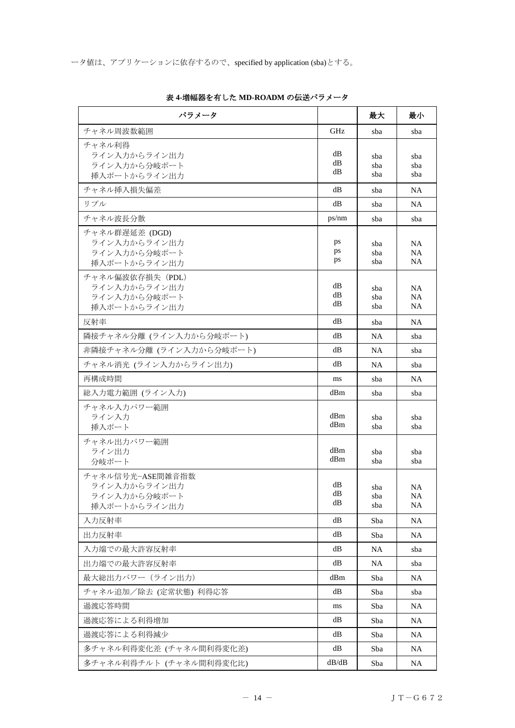| パラメータ                                                            |                | 最大                | 最小                           |
|------------------------------------------------------------------|----------------|-------------------|------------------------------|
| チャネル周波数範囲                                                        | GHz            | sba               | sba                          |
| チャネル利得<br>ライン入力からライン出力<br>ライン入力から分岐ポート<br>挿入ポートからライン出力           | dВ<br>dВ<br>dВ | sba<br>sba<br>sba | sba<br>sba<br>sba            |
| チャネル挿入損失偏差                                                       | dВ             | sba               | NA                           |
| リプル                                                              | dВ             | sba               | NA                           |
| チャネル波長分散                                                         | ps/nm          | sba               | sba                          |
| チャネル群遅延差 (DGD)<br>ライン入力からライン出力<br>ライン入力から分岐ポート<br>挿入ポートからライン出力   | ps<br>ps<br>ps | sba<br>sba<br>sba | <b>NA</b><br><b>NA</b><br>NA |
| チャネル偏波依存損失 (PDL)<br>ライン入力からライン出力<br>ライン入力から分岐ポート<br>挿入ポートからライン出力 | dВ<br>dB<br>dВ | sba<br>sba<br>sba | <b>NA</b><br><b>NA</b><br>NA |
| 反射率                                                              | dВ             | sba               | NA                           |
| 隣接チャネル分離 (ライン入力から分岐ポート)                                          | dВ             | NA                | sba                          |
| 非隣接チャネル分離 (ライン入力から分岐ポート)                                         | dВ             | NA                | sba                          |
| チャネル消光 (ライン入力からライン出力)                                            | dВ             | NA                | sba                          |
| 再構成時間                                                            | ms<br>dBm      | sba               | NA                           |
| 総入力電力範囲 (ライン入力)<br>チャネル入力パワー範囲<br>ライン入力<br>挿入ポート<br>チャネル出力パワー範囲  | dBm<br>dBm     | sba<br>sba<br>sba | sba<br>sba<br>sba            |
| ライン出力<br>分岐ポート                                                   | dBm<br>dBm     | sba<br>sba        | sba<br>sba                   |
| チャネル信号光-ASE間雑音指数<br>ライン入力からライン出力<br>ライン入力から分岐ポート<br>挿入ポートからライン出力 | dВ<br>dB<br>dВ | sba<br>sba<br>sba | NA<br>NA.<br>NA              |
| 入力反射率                                                            | dB             | Sba               | <b>NA</b>                    |
| 出力反射率                                                            | dB             | Sba               | NA.                          |
| 入力端での最大許容反射率                                                     | dВ             | NA                | sba                          |
| 出力端での最大許容反射率                                                     | dВ             | NA                | sba                          |
| 最大総出力パワー (ライン出力)                                                 | dBm            | Sba               | NA                           |
| チャネル追加/除去 (定常状態) 利得応答                                            | dB             | Sba               | sba                          |
| 過渡応答時間                                                           | ms             | Sba               | NA.                          |
| 過渡応答による利得増加                                                      | dB             | Sba               | <b>NA</b>                    |
| 過渡応答による利得減少                                                      | dВ             | Sba               | NA                           |
| 多チャネル利得変化差 (チャネル間利得変化差)                                          | dB             | Sba               | NA.                          |
| 多チャネル利得チルト (チャネル間利得変化比)                                          | dB/dB          | Sba               | <b>NA</b>                    |

表 **4-**増幅器を有した **MD-ROADM** の伝送パラメータ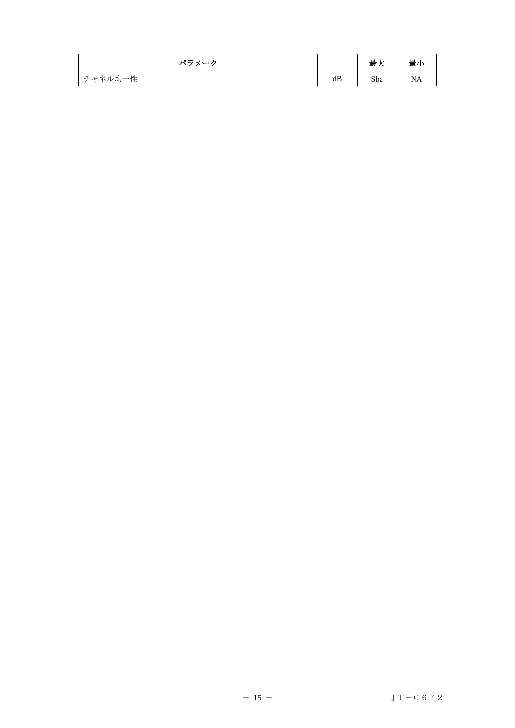| パラメータ   |    | 最大  | 最小 |
|---------|----|-----|----|
| チャネル均一性 | dB | Sba | NA |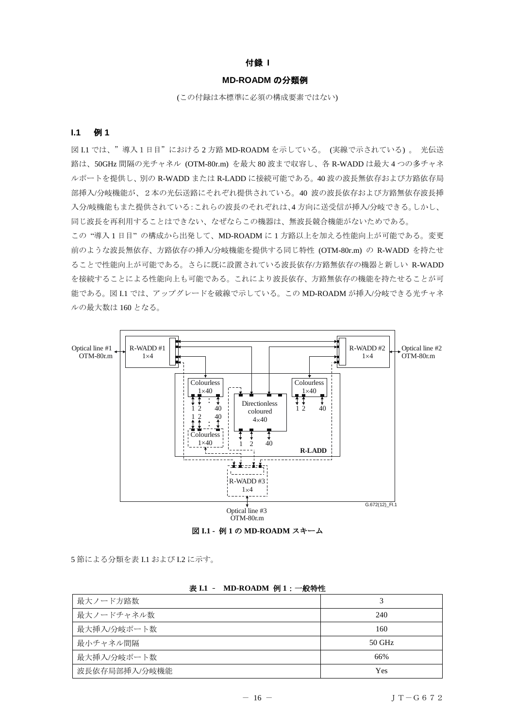## 付録 **I**

#### **MD-ROADM** の分類例

(この付録は本標準に必須の構成要素ではない)

#### <span id="page-15-1"></span><span id="page-15-0"></span>**I.1** 例 **1**

図 I.1 では、"導入1日目"における2方路 MD-ROADM を示している。(実線で示されている)。光伝送 路は、50GHz 間隔の光チャネル (OTM-80r.m) を最大 80 波まで収容し、各 R-WADD は最大 4 つの多チャネ ルポートを提供し、別の R-WADD または R-LADD に接続可能である。40 波の波長無依存および方路依存局 部挿入/分岐機能が、2本の光伝送路にそれぞれ提供されている。40 波の波長依存および方路無依存波長挿 入分/岐機能もまた提供されている:これらの波長のそれぞれは、4 方向に送受信が挿入/分岐できる。しかし、 同じ波長を再利用することはできない、なぜならこの機器は、無波長競合機能がないためである。

この "導入 1 日目" の構成から出発して、MD-ROADM に 1 方路以上を加える性能向上が可能である。変更 前のような波長無依存、方路依存の挿入/分岐機能を提供する同じ特性 (OTM-80r.m) の R-WADD を持たせ ることで性能向上が可能である。さらに既に設置されている波長依存/方路無依存の機器と新しい R-WADD を接続することによる性能向上も可能である。これにより波長依存、方路無依存の機能を持たせることが可 能である。図 I.1 では、アップグレードを破線で示している。この MD-ROADM が挿入/分岐できる光チャネ ルの最大数は 160 となる。



図 **I.1 -** 例 **1** の **MD-ROADM** スキーム

5 節による分類を表 I.1 および I.2 に示す。

| 最大ノード方路数      |          |
|---------------|----------|
| 最大ノードチャネル数    | 240      |
| 最大挿入/分岐ポート数   | 160      |
| 最小チャネル間隔      | $50$ GHz |
| 最大挿入/分岐ポート数   | 66%      |
| 波長依存局部挿入/分岐機能 | Yes      |

#### 表 **I.1** – **MD-ROADM** 例 **1**:一般特性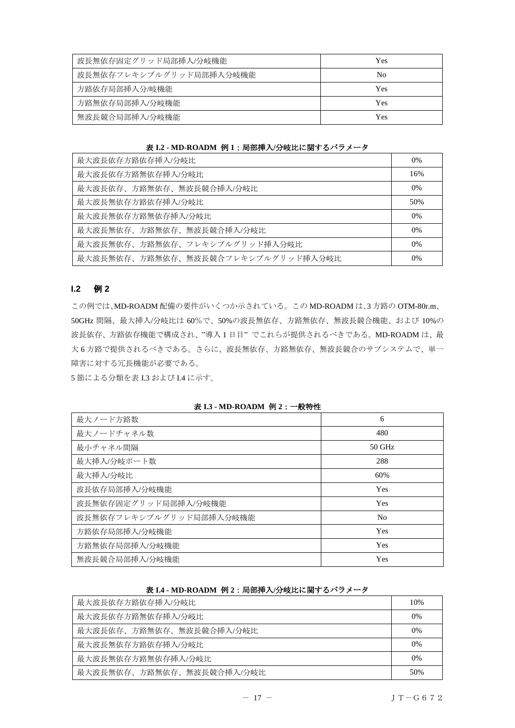| 波長無依存固定グリッド局部挿入/分岐機能    | Yes |
|-------------------------|-----|
| 波長無依存フレキシブルグリッド局部挿入分岐機能 | No  |
| 方路依存局部挿入分/岐機能           | Yes |
| 方路無依存局部挿入/分岐機能          | Yes |
| 無波長競合局部挿入/分岐機能          | Yes |

表 **I.2 - MD-ROADM** 例 **1**:局部挿入**/**分岐比に関するパラメータ

| 最大波長依存方路依存挿入/分岐比                   | $0\%$ |
|------------------------------------|-------|
| 最大波長依存方路無依存挿入/分岐比                  | 16%   |
| 最大波長依存、方路無依存、無波長競合挿入/分岐比           | 0%    |
| 最大波長無依存方路依存挿入/分岐比                  | 50%   |
| 最大波長無依存方路無依存挿入/分岐比                 | $0\%$ |
| 最大波長無依存、方路無依存、無波長競合挿入/分岐比          | $0\%$ |
| 最大波長無依存、方路無依存、フレキシブルグリッド挿入分岐比      | $0\%$ |
| 最大波長無依存、方路無依存、無波長競合フレキシブルグリッド挿入分岐比 | $0\%$ |

## <span id="page-16-0"></span>**I.2** 例 **2**

この例では、MD-ROADM 配備の要件がいくつか示されている。この MD-ROADM は、3 方路の OTM-80r.m、 50GHz 間隔、最大挿入/分岐比は 60%で、50%の波長無依存、方路無依存、無波長競合機能、および 10%の 波長依存、方路依存機能で構成され、"導入 1 日目" でこれらが提供されるべきである。MD-ROADM は、最 大 6 方路で提供されるべきである。さらに、波長無依存、方路無依存、無波長競合のサブシステムで、単一 障害に対する冗長機能が必要である。

5 節による分類を表 I.3 および I.4 に示す。

| $\cdots$<br><b>AAR</b>  |                |
|-------------------------|----------------|
| 最大ノード方路数                | 6              |
| 最大ノードチャネル数              | 480            |
| 最小チャネル間隔                | $50$ GHz       |
| 最大挿入/分岐ポート数             | 288            |
| 最大挿入/分岐比                | 60%            |
| 波長依存局部挿入/分岐機能           | Yes            |
| 波長無依存固定グリッド局部挿入/分岐機能    | Yes            |
| 波長無依存フレキシブルグリッド局部挿入分岐機能 | N <sub>0</sub> |
| 方路依存局部挿入/分岐機能           | Yes            |
| 方路無依存局部挿入/分岐機能          | Yes            |
| 無波長競合局部挿入/分岐機能          | Yes            |

#### 表 **I.3 - MD-ROADM** 例 **2**:一般特性

表 **I.4 - MD-ROADM** 例 **2**:局部挿入**/**分岐比に関するパラメータ

| 最大波長依存方路依存挿入/分岐比          | 10%   |
|---------------------------|-------|
| 最大波長依存方路無依存挿入/分岐比         | $0\%$ |
| 最大波長依存、方路無依存、無波長競合挿入/分岐比  | $0\%$ |
| 最大波長無依存方路依存挿入/分岐比         | $0\%$ |
| 最大波長無依存方路無依存挿入/分岐比        | $0\%$ |
| 最大波長無依存、方路無依存、無波長競合挿入/分岐比 | 50%   |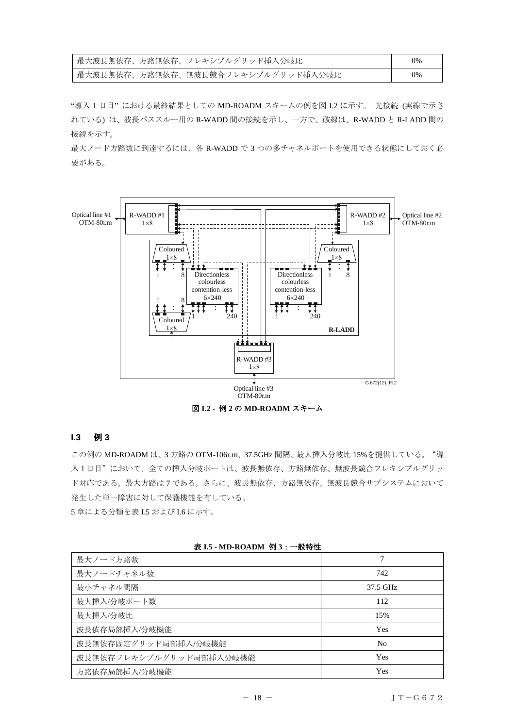| 最大波長無依存、方路無依存、フレキシブルグリッド挿入分岐比        | 0% |
|--------------------------------------|----|
| - 最大波長無依存、方路無依存、無波長競合フレキシブルグリッド挿入分岐比 | 0% |

"導入 1 日目" における最終結果としての MD-ROADM スキームの例を図 I.2 に示す。 光接続 (実線で示さ れている) は、波長パススルー用の R-WADD 間の接続を示し、一方で、破線は、R-WADD と R-LADD 間の 接続を示す。

最大ノード方路数に到達するには、各 R-WADD で 3 つの多チャネルポートを使用できる状態にしておく必 要がある。



#### <span id="page-17-0"></span>**I.3** 例 **3**

この例の MD-ROADM は、3 方路の OTM-106r.m、37.5GHz 間隔、最大挿入分岐比 15%を提供している。"導 入 1 日目"において、全ての挿入分岐ポートは、波長無依存、方路無依存、無波長競合フレキシブルグリッ ド対応である。最大方路は 7 である。さらに、波長無依存、方路無依存、無波長競合サブシステムにおいて 発生した単一障害に対して保護機能を有している。

5 章による分類を表 I.5 および I.6 に示す。

| 表 I.5 - MD-ROADM 例 3: 一般特性 |  |  |  |
|----------------------------|--|--|--|
|----------------------------|--|--|--|

| 最大ノード方路数                | 7              |
|-------------------------|----------------|
| 最大ノードチャネル数              | 742            |
| 最小チャネル間隔                | 37.5 GHz       |
| 最大挿入/分岐ポート数             | 112            |
| 最大挿入/分岐比                | 15%            |
| 波長依存局部挿入/分岐機能           | Yes            |
| 波長無依存固定グリッド局部挿入/分岐機能    | N <sub>0</sub> |
| 波長無依存フレキシブルグリッド局部挿入分岐機能 | Yes            |
| 方路依存局部挿入/分岐機能           | Yes            |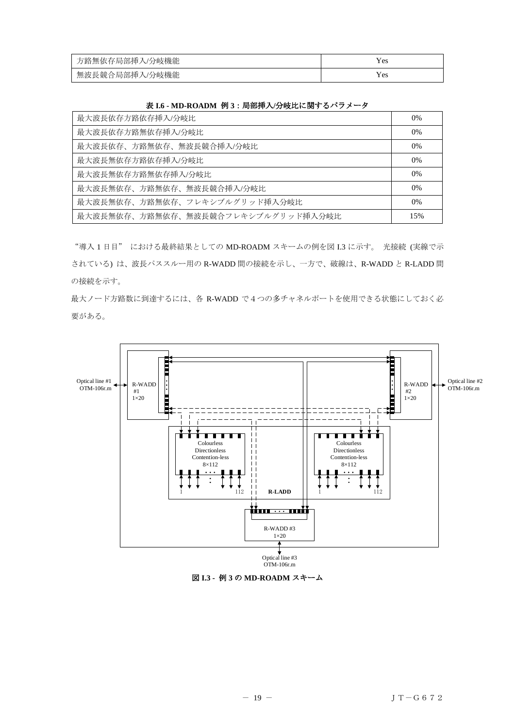| 方路無依存局部挿入/分岐機能 |     |
|----------------|-----|
| 無波長競合局部挿入/分岐機能 | Yes |

| $\sim$ 1.0 $\sim$ 1.1 $\sim$ 1.0 $\sim$ 1.1 $\sim$ 1.1 $\sim$ 1.1 $\sim$ 1.1 $\sim$ 1.1 $\sim$ 1.1 $\sim$ 1.1 $\sim$ 1.1 $\sim$ 1.1 $\sim$ 1.1 $\sim$ 1.1 $\sim$ 1.1 $\sim$ 1.1 $\sim$ 1.1 $\sim$ 1.1 $\sim$ 1.1 $\sim$ 1.1 $\sim$ 1.1 $\sim$ 1.1 $\sim$ 1.1 $\sim$ 1.1 $\sim$ |       |
|--------------------------------------------------------------------------------------------------------------------------------------------------------------------------------------------------------------------------------------------------------------------------------|-------|
| 最大波長依存方路依存挿入/分岐比                                                                                                                                                                                                                                                               | 0%    |
| 最大波長依存方路無依存挿入/分岐比                                                                                                                                                                                                                                                              | 0%    |
| 最大波長依存、方路無依存、無波長競合挿入/分岐比                                                                                                                                                                                                                                                       | $0\%$ |
| 最大波長無依存方路依存挿入/分岐比                                                                                                                                                                                                                                                              | 0%    |
| 最大波長無依存方路無依存挿入/分岐比                                                                                                                                                                                                                                                             | $0\%$ |
| 最大波長無依存、方路無依存、無波長競合挿入/分岐比                                                                                                                                                                                                                                                      | $0\%$ |
| 最大波長無依存、方路無依存、フレキシブルグリッド挿入分岐比                                                                                                                                                                                                                                                  | $0\%$ |
| 最大波長無依存、方路無依存、無波長競合フレキシブルグリッド挿入分岐比                                                                                                                                                                                                                                             | 15%   |

## 表 **I.6 - MD-ROADM** 例 **3**:局部挿入**/**分岐比に関するパラメータ

"導入 1 日目" における最終結果としての MD-ROADM スキームの例を図 I.3 に示す。 光接続 (実線で示 されている) は、波長パススルー用の R-WADD 間の接続を示し、一方で、破線は、R-WADD と R-LADD 間 の接続を示す。

最大ノード方路数に到達するには、各 R-WADD で4つの多チャネルポートを使用できる状態にしておく必 要がある。



図 **I.3 -** 例 **3** の **MD-ROADM** スキーム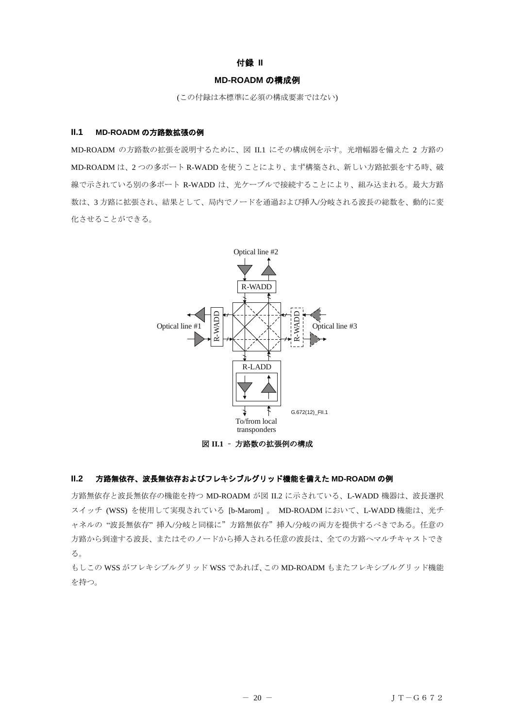#### 付録 **II**

#### **MD-ROADM** の構成例

(この付録は本標準に必須の構成要素ではない)

#### <span id="page-19-1"></span><span id="page-19-0"></span>**II.1 MD-ROADM** の方路数拡張の例

MD-ROADM の方路数の拡張を説明するために、図 II.1 にその構成例を示す。光増幅器を備えた 2 方路の MD-ROADM は、2 つの多ポート R-WADD を使うことにより、まず構築され、新しい方路拡張をする時、破 線で示されている別の多ポート R-WADD は、光ケーブルで接続することにより、組み込まれる。最大方路 数は、3 方路に拡張され、結果として、局内でノードを通過および挿入/分岐される波長の総数を、動的に変 化させることができる。



図 **II.1** – 方路数の拡張例の構成

## <span id="page-19-2"></span>**II.2** 方路無依存、波長無依存およびフレキシブルグリッド機能を備えた **MD-ROADM** の例

方路無依存と波長無依存の機能を持つ MD-ROADM が図 II.2 に示されている、L-WADD 機器は、波長選択 スイッチ (WSS) を使用して実現されている [b-Marom] 。 MD-ROADM において、L-WADD 機能は、光チ ャネルの "波長無依存" 挿入/分岐と同様に"方路無依存"挿入/分岐の両方を提供するべきである。任意の 方路から到達する波長、またはそのノードから挿入される任意の波長は、全ての方路へマルチキャストでき る。

もしこの WSS がフレキシブルグリッド WSS であれば、この MD-ROADM もまたフレキシブルグリッド機能 を持つ。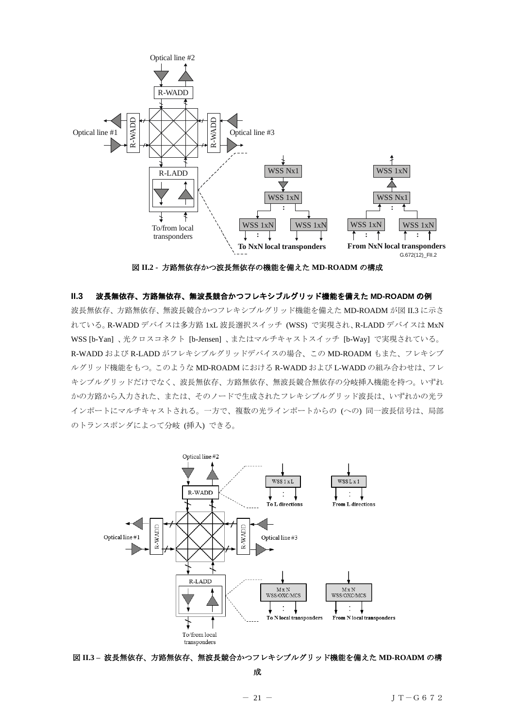

図 **II.2 -** 方路無依存かつ波長無依存の機能を備えた **MD-ROADM** の構成

#### <span id="page-20-0"></span>**II.3** 波長無依存、方路無依存、無波長競合かつフレキシブルグリッド機能を備えた **MD-ROADM** の例

波長無依存、方路無依存、無波長競合かつフレキシブルグリッド機能を備えた MD-ROADM が図 II.3 に示さ れている。R-WADD デバイスは多方路 1xL 波長選択スイッチ (WSS) で実現され、R-LADD デバイスは MxN WSS [b-Yan] 、光クロスコネクト [b-Jensen] 、またはマルチキャストスイッチ [b-Way] で実現されている。 R-WADD および R-LADD がフレキシブルグリッドデバイスの場合、この MD-ROADM もまた、フレキシブ ルグリッド機能をもつ。このような MD-ROADM における R-WADD および L-WADD の組み合わせは、フレ キシブルグリッドだけでなく、波長無依存、方路無依存、無波長競合無依存の分岐挿入機能を持つ。いずれ かの方路から入力された、または、そのノードで生成されたフレキシブルグリッド波長は、いずれかの光ラ インポートにマルチキャストされる。一方で、複数の光ラインポートからの (への) 同一波長信号は、局部 のトランスポンダによって分岐 (挿入) できる。



図 **II.3 –** 波長無依存、方路無依存、無波長競合かつフレキシブルグリッド機能を備えた **MD-ROADM** の構

成